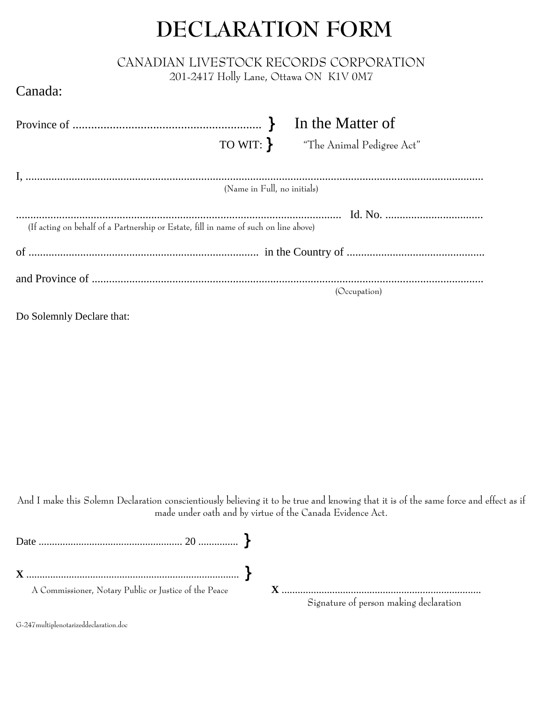## **DECLARATION FORM**

## CANADIAN LIVESTOCK RECORDS CORPORATION

201-2417 Holly Lane, Ottawa ON K1V 0M7

## Canada:

|                                                                                      | TO WIT: The Animal Pedigree Act" |
|--------------------------------------------------------------------------------------|----------------------------------|
|                                                                                      |                                  |
|                                                                                      | (Name in Full, no initials)      |
| (If acting on behalf of a Partnership or Estate, fill in name of such on line above) |                                  |
|                                                                                      |                                  |
|                                                                                      | (Occupation)                     |

Do Solemnly Declare that:

And I make this Solemn Declaration conscientiously believing it to be true and knowing that it is of the same force and effect as if made under oath and by virtue of the Canada Evidence Act.

| A Commissioner, Notary Public or Justice of the Peace | Signature of person making declaration |  |
|-------------------------------------------------------|----------------------------------------|--|

G-247multiplenotarizeddeclaration.doc